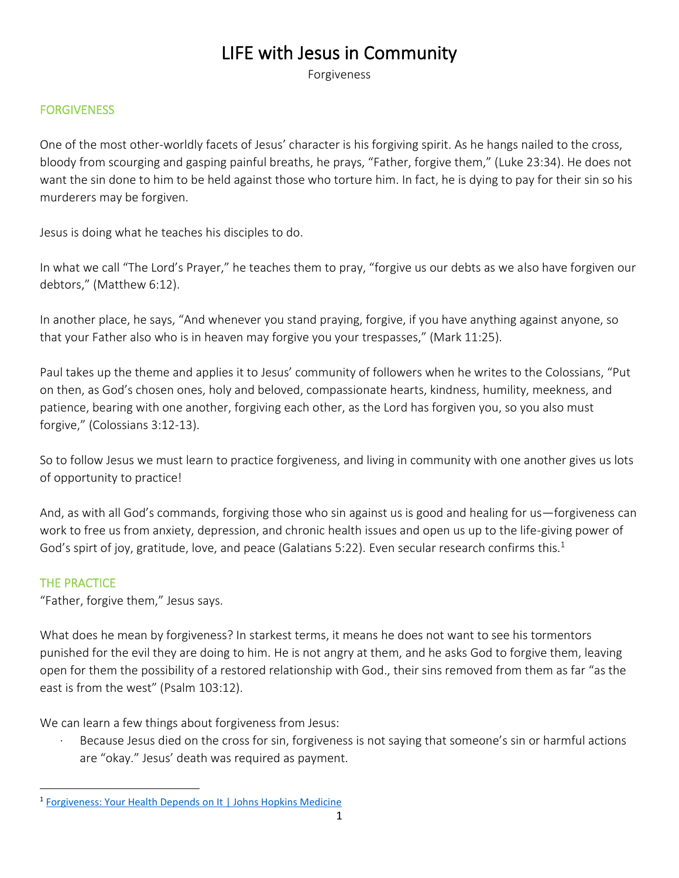# LIFE with Jesus in Community

Forgiveness

## FORGIVENESS

One of the most other-worldly facets of Jesus' character is his forgiving spirit. As he hangs nailed to the cross, bloody from scourging and gasping painful breaths, he prays, "Father, forgive them," (Luke 23:34). He does not want the sin done to him to be held against those who torture him. In fact, he is dying to pay for their sin so his murderers may be forgiven.

Jesus is doing what he teaches his disciples to do.

In what we call "The Lord's Prayer," he teaches them to pray, "forgive us our debts as we also have forgiven our debtors," (Matthew 6:12).

In another place, he says, "And whenever you stand praying, forgive, if you have anything against anyone, so that your Father also who is in heaven may forgive you your trespasses," (Mark 11:25).

Paul takes up the theme and applies it to Jesus' community of followers when he writes to the Colossians, "Put on then, as God's chosen ones, holy and beloved, compassionate hearts, kindness, humility, meekness, and patience, bearing with one another, forgiving each other, as the Lord has forgiven you, so you also must forgive," (Colossians 3:12-13).

So to follow Jesus we must learn to practice forgiveness, and living in community with one another gives us lots of opportunity to practice!

And, as with all God's commands, forgiving those who sin against us is good and healing for us—forgiveness can work to free us from anxiety, depression, and chronic health issues and open us up to the life-giving power of God's spirt of joy, gratitude, love, and peace (Galatians 5:22). Even secular research confirms this.<sup>1</sup>

## THE PRACTICE

"Father, forgive them," Jesus says.

What does he mean by forgiveness? In starkest terms, it means he does not want to see his tormentors punished for the evil they are doing to him. He is not angry at them, and he asks God to forgive them, leaving open for them the possibility of a restored relationship with God., their sins removed from them as far "as the east is from the west" (Psalm 103:12).

We can learn a few things about forgiveness from Jesus:

Because Jesus died on the cross for sin, forgiveness is not saying that someone's sin or harmful actions are "okay." Jesus' death was required as payment.

<sup>&</sup>lt;sup>1</sup> [Forgiveness: Your Health Depends on It | Johns Hopkins Medicine](https://www.hopkinsmedicine.org/health/wellness-and-prevention/forgiveness-your-health-depends-on-it)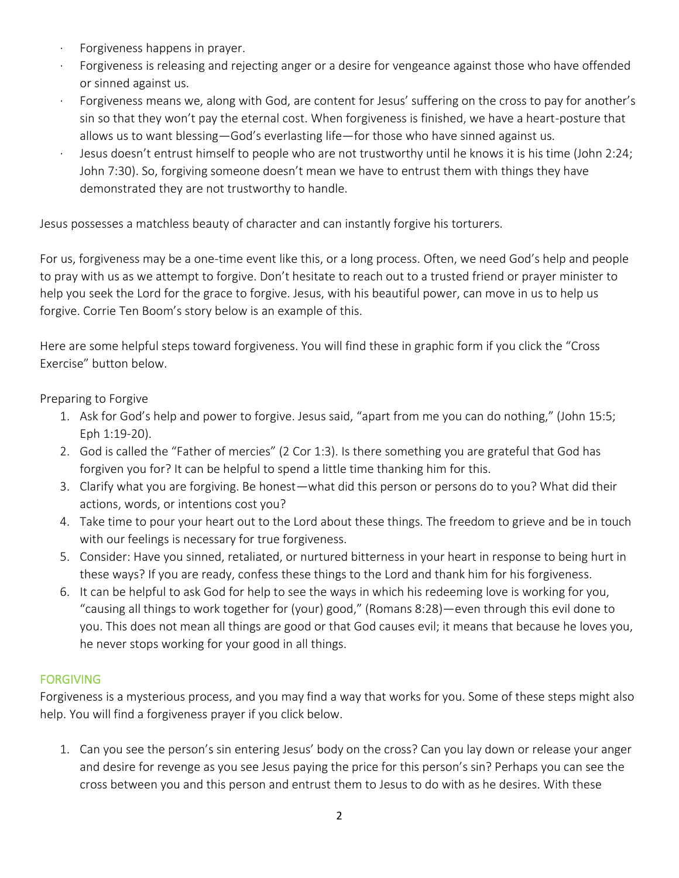- · Forgiveness happens in prayer.
- Forgiveness is releasing and rejecting anger or a desire for vengeance against those who have offended or sinned against us.
- Forgiveness means we, along with God, are content for Jesus' suffering on the cross to pay for another's sin so that they won't pay the eternal cost. When forgiveness is finished, we have a heart-posture that allows us to want blessing—God's everlasting life—for those who have sinned against us.
- · Jesus doesn't entrust himself to people who are not trustworthy until he knows it is his time (John 2:24; John 7:30). So, forgiving someone doesn't mean we have to entrust them with things they have demonstrated they are not trustworthy to handle.

Jesus possesses a matchless beauty of character and can instantly forgive his torturers.

For us, forgiveness may be a one-time event like this, or a long process. Often, we need God's help and people to pray with us as we attempt to forgive. Don't hesitate to reach out to a trusted friend or prayer minister to help you seek the Lord for the grace to forgive. Jesus, with his beautiful power, can move in us to help us forgive. Corrie Ten Boom's story below is an example of this.

Here are some helpful steps toward forgiveness. You will find these in graphic form if you click the "Cross Exercise" button below.

Preparing to Forgive

- 1. Ask for God's help and power to forgive. Jesus said, "apart from me you can do nothing," (John 15:5; Eph 1:19-20).
- 2. God is called the "Father of mercies" (2 Cor 1:3). Is there something you are grateful that God has forgiven you for? It can be helpful to spend a little time thanking him for this.
- 3. Clarify what you are forgiving. Be honest—what did this person or persons do to you? What did their actions, words, or intentions cost you?
- 4. Take time to pour your heart out to the Lord about these things. The freedom to grieve and be in touch with our feelings is necessary for true forgiveness.
- 5. Consider: Have you sinned, retaliated, or nurtured bitterness in your heart in response to being hurt in these ways? If you are ready, confess these things to the Lord and thank him for his forgiveness.
- 6. It can be helpful to ask God for help to see the ways in which his redeeming love is working for you, "causing all things to work together for (your) good," (Romans 8:28)—even through this evil done to you. This does not mean all things are good or that God causes evil; it means that because he loves you, he never stops working for your good in all things.

# FORGIVING

Forgiveness is a mysterious process, and you may find a way that works for you. Some of these steps might also help. You will find a forgiveness prayer if you click below.

1. Can you see the person's sin entering Jesus' body on the cross? Can you lay down or release your anger and desire for revenge as you see Jesus paying the price for this person's sin? Perhaps you can see the cross between you and this person and entrust them to Jesus to do with as he desires. With these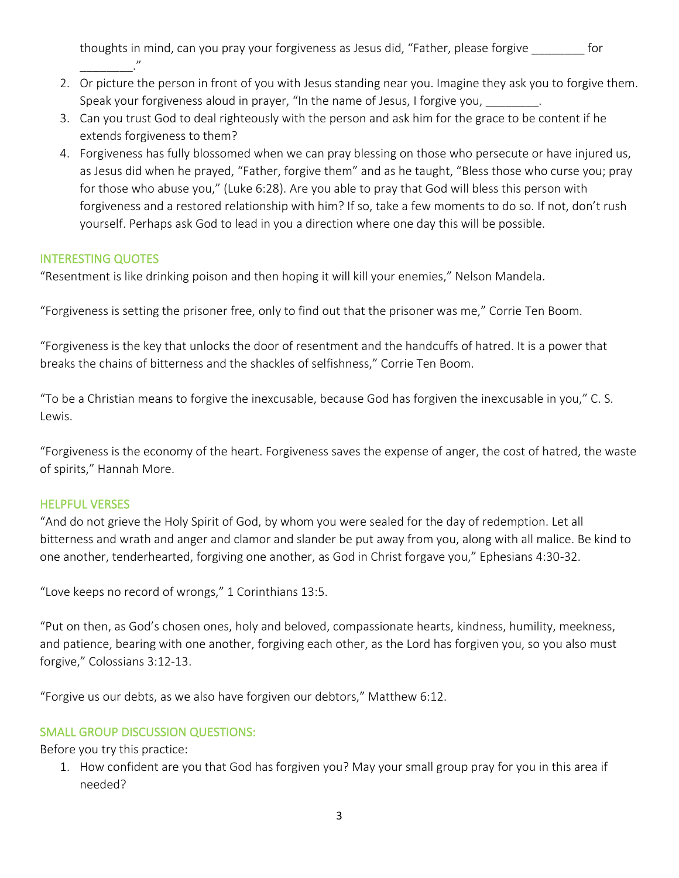thoughts in mind, can you pray your forgiveness as Jesus did, "Father, please forgive \_\_\_\_\_\_\_\_ for \_\_\_\_\_\_\_\_\_\_\_\_\_\_."

- 2. Or picture the person in front of you with Jesus standing near you. Imagine they ask you to forgive them. Speak your forgiveness aloud in prayer, "In the name of Jesus, I forgive you,
- 3. Can you trust God to deal righteously with the person and ask him for the grace to be content if he extends forgiveness to them?
- 4. Forgiveness has fully blossomed when we can pray blessing on those who persecute or have injured us, as Jesus did when he prayed, "Father, forgive them" and as he taught, "Bless those who curse you; pray for those who abuse you," (Luke 6:28). Are you able to pray that God will bless this person with forgiveness and a restored relationship with him? If so, take a few moments to do so. If not, don't rush yourself. Perhaps ask God to lead in you a direction where one day this will be possible.

## INTERESTING QUOTES

"Resentment is like drinking poison and then hoping it will kill your enemies," Nelson Mandela.

"Forgiveness is setting the prisoner free, only to find out that the prisoner was me," Corrie Ten Boom.

"Forgiveness is the key that unlocks the door of resentment and the handcuffs of hatred. It is a power that breaks the chains of bitterness and the shackles of selfishness," Corrie Ten Boom.

"To be a Christian means to forgive the inexcusable, because God has forgiven the inexcusable in you," C. S. Lewis.

"Forgiveness is the economy of the heart. Forgiveness saves the expense of anger, the cost of hatred, the waste of spirits," Hannah More.

## HELPFUL VERSES

"And do not grieve the Holy Spirit of God, by whom you were sealed for the day of redemption. Let all bitterness and wrath and anger and clamor and slander be put away from you, along with all malice. Be kind to one another, tenderhearted, forgiving one another, as God in Christ forgave you," Ephesians 4:30-32.

"Love keeps no record of wrongs," 1 Corinthians 13:5.

"Put on then, as God's chosen ones, holy and beloved, compassionate hearts, kindness, humility, meekness, and patience, bearing with one another, forgiving each other, as the Lord has forgiven you, so you also must forgive," Colossians 3:12-13.

"Forgive us our debts, as we also have forgiven our debtors," Matthew 6:12.

## SMALL GROUP DISCUSSION QUESTIONS:

Before you try this practice:

1. How confident are you that God has forgiven you? May your small group pray for you in this area if needed?